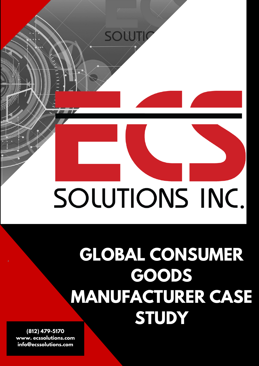

## **GLOBAL CONSUMER GOODS MANUFACTURER CASE STUDY**

**(812) 479-5170 www. ecssolutions.com info@ecssolutions.com**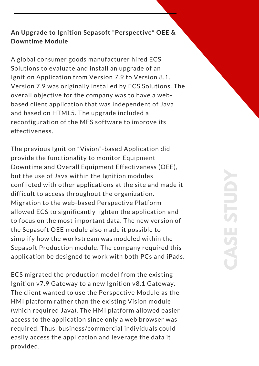## **An Upgrade to Ignition Sepasoft "Perspective" OEE & Downtime Module**

A global consumer goods manufacturer hired ECS Solutions to evaluate and install an upgrade of an Ignition Application from Version 7.9 to Version 8.1. Version 7.9 was originally installed by ECS Solutions. The overall objective for the company was to have a webbased client application that was independent of Java and based on HTML5. The upgrade included a reconfiguration of the MES software to improve its effectiveness.

The previous Ignition "Vision"-based Application did provide the functionality to monitor Equipment Downtime and Overall Equipment Effectiveness (OEE), but the use of Java within the Ignition modules conflicted with other applications at the site and made it difficult to access throughout the organization. Migration to the web-based Perspective Platform allowed ECS to significantly lighten the application and to focus on the most important data. The new version of the Sepasoft OEE module also made it possible to simplify how the workstream was modeled within the Sepasoft Production module. The company required this application be designed to work with both PCs and iPads.

ECS migrated the production model from the existing Ignition v7.9 Gateway to a new Ignition v8.1 Gateway. The client wanted to use the Perspective Module as the HMI platform rather than the existing Vision module (which required Java). The HMI platform allowed easier access to the application since only a web browser was required. Thus, business/commercial individuals could easily access the application and leverage the data it provided.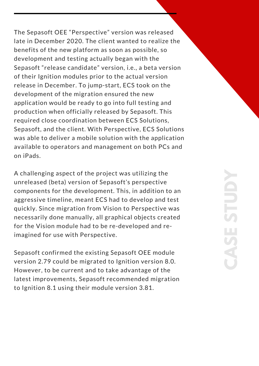The Sepasoft OEE "Perspective" version was released late in December 2020. The client wanted to realize the benefits of the new platform as soon as possible, so development and testing actually began with the Sepasoft "release candidate" version, i.e., a beta version of their Ignition modules prior to the actual version release in December. To jump-start, ECS took on the development of the migration ensured the new application would be ready to go into full testing and production when officially released by Sepasoft. This required close coordination between ECS Solutions, Sepasoft, and the client. With Perspective, ECS Solutions was able to deliver a mobile solution with the application available to operators and management on both PCs and on iPads.

A challenging aspect of the project was utilizing the unreleased (beta) version of Sepasoft's perspective components for the development. This, in addition to an aggressive timeline, meant ECS had to develop and test quickly. Since migration from Vision to Perspective was necessarily done manually, all graphical objects created for the Vision module had to be re-developed and reimagined for use with Perspective.

Sepasoft confirmed the existing Sepasoft OEE module version 2.79 could be migrated to Ignition version 8.0. However, to be current and to take advantage of the latest improvements, Sepasoft recommended migration to Ignition 8.1 using their module version 3.81.